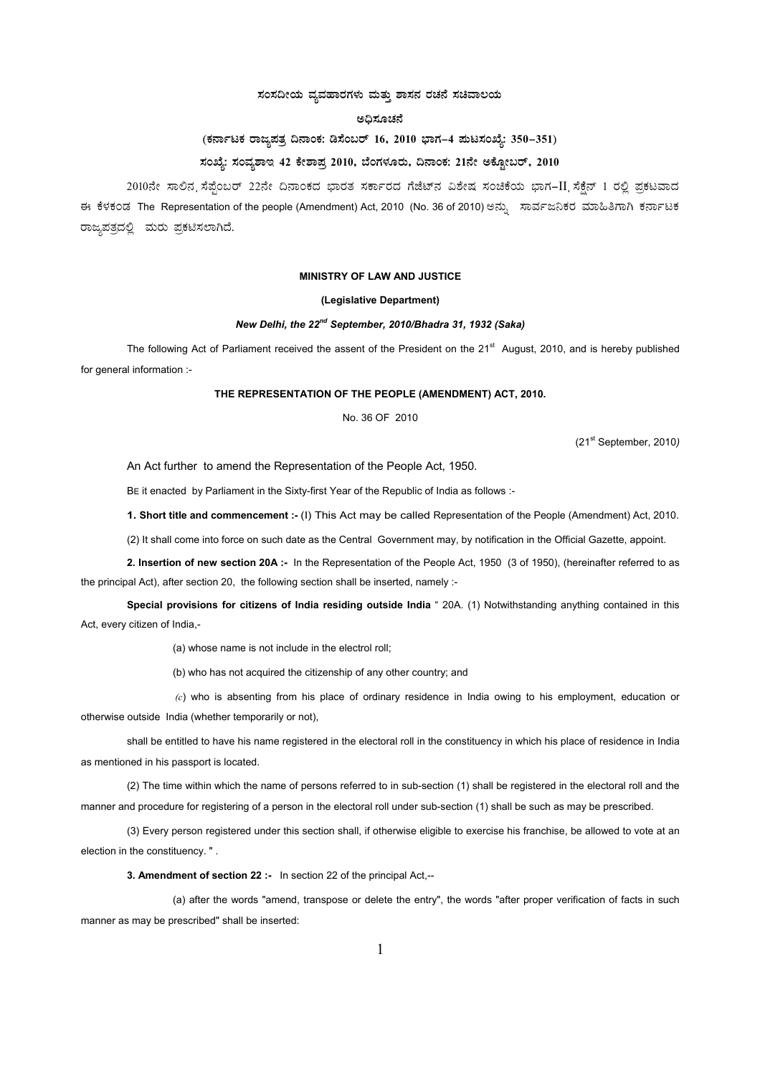### $\pi$ ನಂಸದೀಯ ವ್ಯವಹಾರಗಳು ಮತ್ತು ಶಾಸನ ರಚನೆ ಸಚಿವಾಲಯ

## **C¢ü¸ÀÆZÀ£É**

# (ಕರ್ನಾಟಕ ರಾಜ್ಯಪತ್ರ ದಿನಾಂಕ: ಡಿಸೆಂಬರ್ 16, 2010 ಭಾಗ–4 **ಮಟಸಂಖ್ಯೆ: 350–351**)

# ಸಂಖ್ಯೆ: ಸಂವ್ಯಶಾಇ 42 ಕೇಶಾಪ್ತ 2010, ಬೆಂಗಳೂರು, ದಿನಾಂಕ: 21ನೇ ಅಕ್ಟೋಬರ್, 2010

2010ನೇ ಸಾಲಿನ ನೆಪ್ಪೆಂಬರ್ 22ನೇ ದಿನಾಂಕದ ಭಾರತ ಸರ್ಕಾರದ ಗೆಜೆಟ್ನ ವಿಶೇಷ ಸಂಚಿಕೆಯ ಭಾಗ-II ಸೆಕ್ಷೆನ್ 1 ರಲ್ಲಿ ಪ್ರಕಟವಾದ ಈ ಕೆಳಕಂಡ The Representation of the people (Amendment) Act, 2010 (No. 36 of 2010) ಅನ್ನು ಸಾರ್ವಜನಿಕರ ಮಾಹಿತಿಗಾಗಿ ಕರ್ನಾಟಕ ರಾಜ್ಯಪತ್ರದಲ್ಲಿ ಮರು ಪ್ರಕಟಿಸಲಾಗಿದೆ.

#### **MINISTRY OF LAW AND JUSTICE**

### **(Legislative Department)**

### *New Delhi, the 22nd September, 2010/Bhadra 31, 1932 (Saka)*

The following Act of Parliament received the assent of the President on the 21<sup>st</sup> August, 2010, and is hereby published for general information :-

# **THE REPRESENTATION OF THE PEOPLE (AMENDMENT) ACT, 2010.**

No. 36 OF 2010

(21st September, 2010*)*

An Act further to amend the Representation of the People Act, 1950.

BE it enacted by Parliament in the Sixty-first Year of the Republic of India as follows :-

**1. Short title and commencement :-** (I) This Act may be called Representation of the People (Amendment) Act, 2010.

(2) It shall come into force on such date as the Central Government may, by notification in the Official Gazette, appoint.

**2. Insertion of new section 20A :-** In the Representation of the People Act, 1950 (3 of 1950), (hereinafter referred to as the principal Act), after section 20, the following section shall be inserted, namely :-

**Special provisions for citizens of India residing outside India** " 20A. (1) Notwithstanding anything contained in this Act, every citizen of India,-

(a) whose name is not include in the electrol roll;

(b) who has not acquired the citizenship of any other country; and

 *(c*) who is absenting from his place of ordinary residence in India owing to his employment, education or otherwise outside India (whether temporarily or not),

shall be entitled to have his name registered in the electoral roll in the constituency in which his place of residence in India as mentioned in his passport is located.

(2) The time within which the name of persons referred to in sub-section (1) shall be registered in the electoral roll and the manner and procedure for registering of a person in the electoral roll under sub-section (1) shall be such as may be prescribed.

(3) Every person registered under this section shall, if otherwise eligible to exercise his franchise, be allowed to vote at an election in the constituency. " .

**3. Amendment of section 22 :-** In section 22 of the principal Act,--

(a) after the words "amend, transpose or delete the entry", the words "after proper verification of facts in such manner as may be prescribed" shall be inserted: